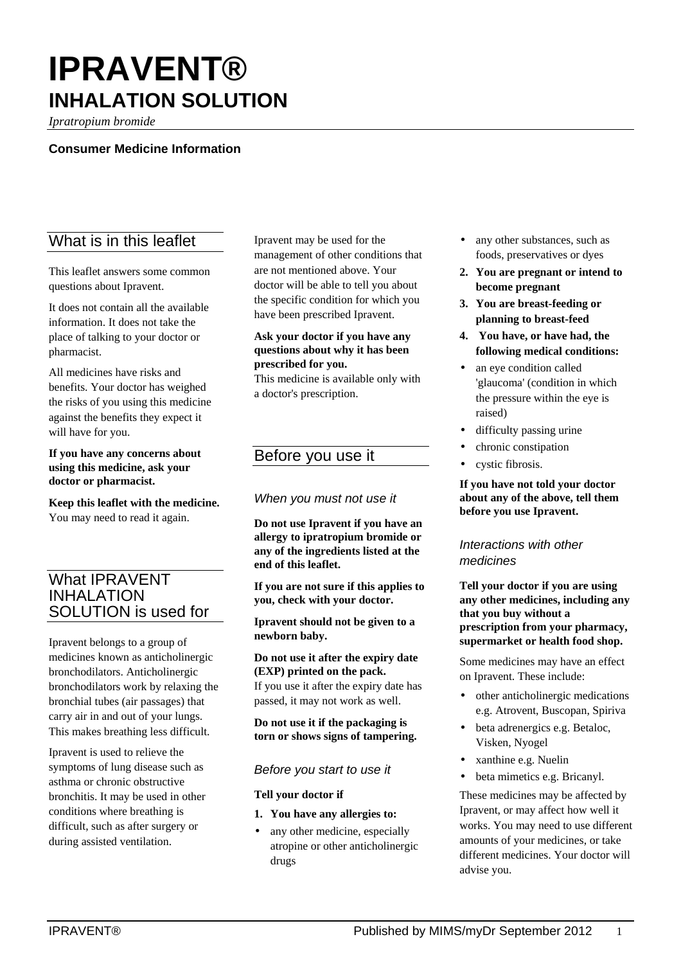# **IPRAVENT® INHALATION SOLUTION**

*Ipratropium bromide*

## **Consumer Medicine Information**

## What is in this leaflet

This leaflet answers some common questions about Ipravent.

It does not contain all the available information. It does not take the place of talking to your doctor or pharmacist.

All medicines have risks and benefits. Your doctor has weighed the risks of you using this medicine against the benefits they expect it will have for you.

#### **If you have any concerns about using this medicine, ask your doctor or pharmacist.**

**Keep this leaflet with the medicine.** You may need to read it again.

## What IPRAVENT INHALATION SOLUTION is used for

Ipravent belongs to a group of medicines known as anticholinergic bronchodilators. Anticholinergic bronchodilators work by relaxing the bronchial tubes (air passages) that carry air in and out of your lungs. This makes breathing less difficult.

Ipravent is used to relieve the symptoms of lung disease such as asthma or chronic obstructive bronchitis. It may be used in other conditions where breathing is difficult, such as after surgery or during assisted ventilation.

Ipravent may be used for the management of other conditions that are not mentioned above. Your doctor will be able to tell you about the specific condition for which you have been prescribed Ipravent.

#### **Ask your doctor if you have any questions about why it has been prescribed for you.**

This medicine is available only with a doctor's prescription.

## Before you use it

## *When you must not use it*

**Do not use Ipravent if you have an allergy to ipratropium bromide or any of the ingredients listed at the end of this leaflet.**

**If you are not sure if this applies to you, check with your doctor.**

**Ipravent should not be given to a newborn baby.**

**Do not use it after the expiry date (EXP) printed on the pack.**

If you use it after the expiry date has passed, it may not work as well.

**Do not use it if the packaging is torn or shows signs of tampering.**

## *Before you start to use it*

#### **Tell your doctor if**

- **1. You have any allergies to:**
- any other medicine, especially atropine or other anticholinergic drugs
- any other substances, such as foods, preservatives or dyes
- **2. You are pregnant or intend to become pregnant**
- **3. You are breast-feeding or planning to breast-feed**
- **4. You have, or have had, the following medical conditions:**
- an eye condition called 'glaucoma' (condition in which the pressure within the eye is raised)
- difficulty passing urine
- chronic constipation
- cystic fibrosis.

**If you have not told your doctor about any of the above, tell them before you use Ipravent.**

## *Interactions with other medicines*

**Tell your doctor if you are using any other medicines, including any that you buy without a prescription from your pharmacy, supermarket or health food shop.**

Some medicines may have an effect on Ipravent. These include:

- other anticholinergic medications e.g. Atrovent, Buscopan, Spiriva
- beta adrenergics e.g. Betaloc, Visken, Nyogel
- xanthine e.g. Nuelin
- beta mimetics e.g. Bricanyl.

These medicines may be affected by Ipravent, or may affect how well it works. You may need to use different amounts of your medicines, or take different medicines. Your doctor will advise you.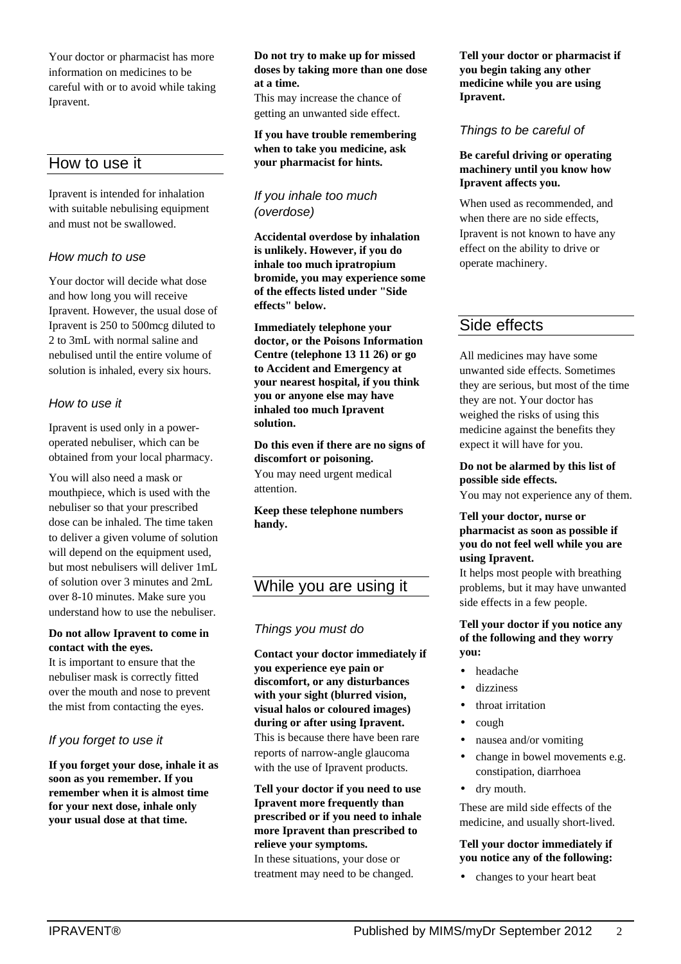Your doctor or pharmacist has more information on medicines to be careful with or to avoid while taking Ipravent.

## How to use it

Ipravent is intended for inhalation with suitable nebulising equipment and must not be swallowed.

## *How much to use*

Your doctor will decide what dose and how long you will receive Ipravent. However, the usual dose of Ipravent is 250 to 500mcg diluted to 2 to 3mL with normal saline and nebulised until the entire volume of solution is inhaled, every six hours.

## *How to use it*

Ipravent is used only in a poweroperated nebuliser, which can be obtained from your local pharmacy.

You will also need a mask or mouthpiece, which is used with the nebuliser so that your prescribed dose can be inhaled. The time taken to deliver a given volume of solution will depend on the equipment used, but most nebulisers will deliver 1mL of solution over 3 minutes and 2mL over 8-10 minutes. Make sure you understand how to use the nebuliser.

## **Do not allow Ipravent to come in contact with the eyes.**

It is important to ensure that the nebuliser mask is correctly fitted over the mouth and nose to prevent the mist from contacting the eyes.

## *If you forget to use it*

**If you forget your dose, inhale it as soon as you remember. If you remember when it is almost time for your next dose, inhale only your usual dose at that time.**

#### **Do not try to make up for missed doses by taking more than one dose at a time.**

This may increase the chance of getting an unwanted side effect.

#### **If you have trouble remembering when to take you medicine, ask your pharmacist for hints.**

## *If you inhale too much (overdose)*

**Accidental overdose by inhalation is unlikely. However, if you do inhale too much ipratropium bromide, you may experience some of the effects listed under "Side effects" below.**

**Immediately telephone your doctor, or the Poisons Information Centre (telephone 13 11 26) or go to Accident and Emergency at your nearest hospital, if you think you or anyone else may have inhaled too much Ipravent solution.**

**Do this even if there are no signs of discomfort or poisoning.** You may need urgent medical attention.

**Keep these telephone numbers handy.**

# While you are using it

## *Things you must do*

**Contact your doctor immediately if you experience eye pain or discomfort, or any disturbances with your sight (blurred vision, visual halos or coloured images) during or after using Ipravent.**

This is because there have been rare reports of narrow-angle glaucoma with the use of Ipravent products.

**Tell your doctor if you need to use Ipravent more frequently than prescribed or if you need to inhale more Ipravent than prescribed to relieve your symptoms.** In these situations, your dose or treatment may need to be changed.

**Tell your doctor or pharmacist if you begin taking any other medicine while you are using Ipravent.**

## *Things to be careful of*

#### **Be careful driving or operating machinery until you know how Ipravent affects you.**

When used as recommended, and when there are no side effects, Ipravent is not known to have any effect on the ability to drive or operate machinery.

## Side effects

All medicines may have some unwanted side effects. Sometimes they are serious, but most of the time they are not. Your doctor has weighed the risks of using this medicine against the benefits they expect it will have for you.

**Do not be alarmed by this list of possible side effects.**

You may not experience any of them.

## **Tell your doctor, nurse or pharmacist as soon as possible if you do not feel well while you are using Ipravent.**

It helps most people with breathing problems, but it may have unwanted side effects in a few people.

#### **Tell your doctor if you notice any of the following and they worry you:**

- headache
- dizziness
- throat irritation
- cough
- nausea and/or vomiting
- change in bowel movements e.g. constipation, diarrhoea
- dry mouth.

These are mild side effects of the medicine, and usually short-lived.

## **Tell your doctor immediately if you notice any of the following:**

• changes to your heart beat